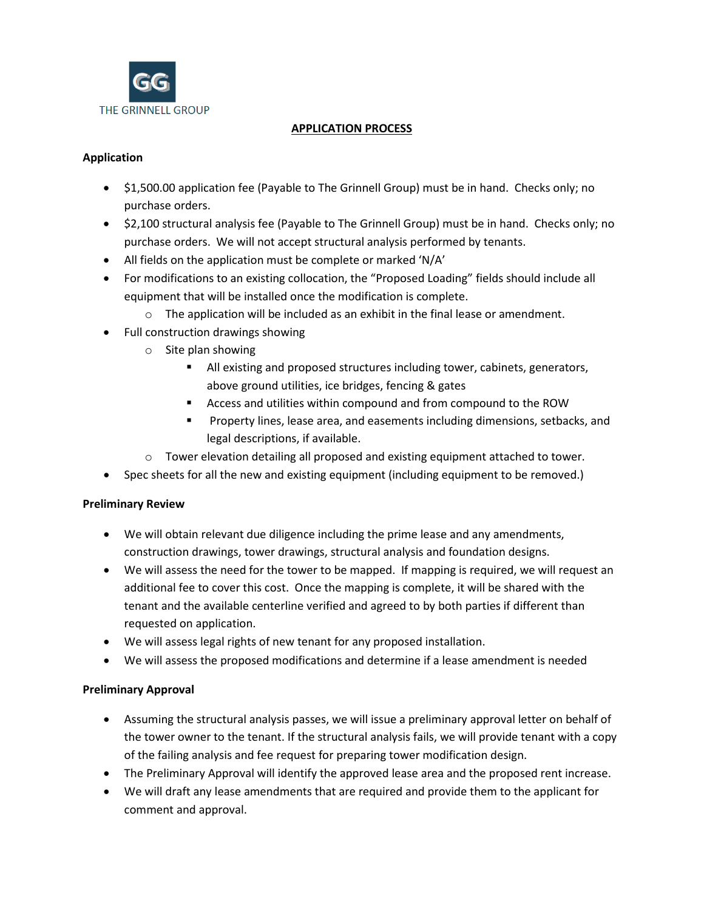

## **APPLICATION PROCESS**

## **Application**

- \$1,500.00 application fee (Payable to The Grinnell Group) must be in hand. Checks only; no purchase orders.
- \$2,100 structural analysis fee (Payable to The Grinnell Group) must be in hand. Checks only; no purchase orders. We will not accept structural analysis performed by tenants.
- All fields on the application must be complete or marked 'N/A'
- For modifications to an existing collocation, the "Proposed Loading" fields should include all equipment that will be installed once the modification is complete.
	- o The application will be included as an exhibit in the final lease or amendment.
- Full construction drawings showing
	- o Site plan showing
		- All existing and proposed structures including tower, cabinets, generators, above ground utilities, ice bridges, fencing & gates
		- Access and utilities within compound and from compound to the ROW
		- **Property lines, lease area, and easements including dimensions, setbacks, and** legal descriptions, if available.
	- $\circ$  Tower elevation detailing all proposed and existing equipment attached to tower.
- Spec sheets for all the new and existing equipment (including equipment to be removed.)

## **Preliminary Review**

- We will obtain relevant due diligence including the prime lease and any amendments, construction drawings, tower drawings, structural analysis and foundation designs.
- We will assess the need for the tower to be mapped. If mapping is required, we will request an additional fee to cover this cost. Once the mapping is complete, it will be shared with the tenant and the available centerline verified and agreed to by both parties if different than requested on application.
- We will assess legal rights of new tenant for any proposed installation.
- We will assess the proposed modifications and determine if a lease amendment is needed

## **Preliminary Approval**

- Assuming the structural analysis passes, we will issue a preliminary approval letter on behalf of the tower owner to the tenant. If the structural analysis fails, we will provide tenant with a copy of the failing analysis and fee request for preparing tower modification design.
- The Preliminary Approval will identify the approved lease area and the proposed rent increase.
- We will draft any lease amendments that are required and provide them to the applicant for comment and approval.